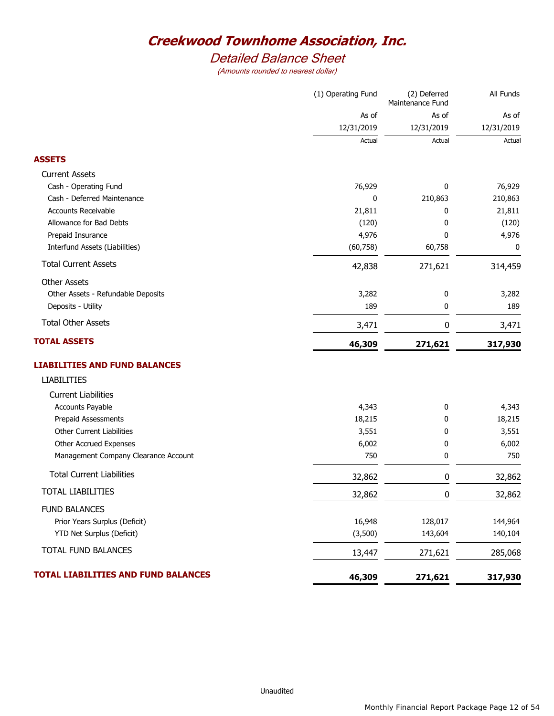## *Detailed Balance Sheet*

|                                      | (1) Operating Fund | (2) Deferred<br>Maintenance Fund | All Funds  |
|--------------------------------------|--------------------|----------------------------------|------------|
|                                      | As of              | As of                            | As of      |
|                                      | 12/31/2019         | 12/31/2019                       | 12/31/2019 |
|                                      | Actual             | Actual                           | Actual     |
| <b>ASSETS</b>                        |                    |                                  |            |
| <b>Current Assets</b>                |                    |                                  |            |
| Cash - Operating Fund                | 76,929             | 0                                | 76,929     |
| Cash - Deferred Maintenance          | 0                  | 210,863                          | 210,863    |
| <b>Accounts Receivable</b>           | 21,811             | 0                                | 21,811     |
| Allowance for Bad Debts              | (120)              | 0                                | (120)      |
| Prepaid Insurance                    | 4,976              | 0                                | 4,976      |
| Interfund Assets (Liabilities)       | (60, 758)          | 60,758                           | 0          |
| <b>Total Current Assets</b>          | 42,838             | 271,621                          | 314,459    |
| <b>Other Assets</b>                  |                    |                                  |            |
| Other Assets - Refundable Deposits   | 3,282              | 0                                | 3,282      |
| Deposits - Utility                   | 189                | 0                                | 189        |
| <b>Total Other Assets</b>            | 3,471              | $\pmb{0}$                        | 3,471      |
| <b>TOTAL ASSETS</b>                  | 46,309             | 271,621                          | 317,930    |
| <b>LIABILITIES AND FUND BALANCES</b> |                    |                                  |            |
| <b>LIABILITIES</b>                   |                    |                                  |            |
| <b>Current Liabilities</b>           |                    |                                  |            |
| <b>Accounts Payable</b>              | 4,343              | 0                                | 4,343      |
| Prepaid Assessments                  | 18,215             | 0                                | 18,215     |
| Other Current Liabilities            | 3,551              | 0                                | 3,551      |
| Other Accrued Expenses               | 6,002              | 0                                | 6,002      |
| Management Company Clearance Account | 750                | 0                                | 750        |
| <b>Total Current Liabilities</b>     | 32,862             | 0                                | 32,862     |
| <b>TOTAL LIABILITIES</b>             | 32,862             | 0                                | 32,862     |
| <b>FUND BALANCES</b>                 |                    |                                  |            |
| Prior Years Surplus (Deficit)        | 16,948             | 128,017                          | 144,964    |
| YTD Net Surplus (Deficit)            | (3,500)            | 143,604                          | 140,104    |
| TOTAL FUND BALANCES                  | 13,447             | 271,621                          | 285,068    |
| TOTAL LIABILITIES AND FUND BALANCES  | 46,309             | 271,621                          | 317,930    |
|                                      |                    |                                  |            |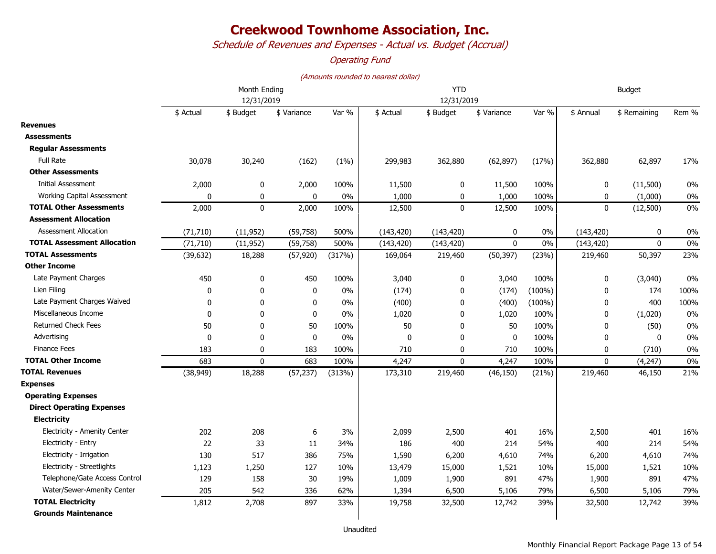*Schedule of Revenues and Expenses - Actual vs. Budget (Accrual)*

#### *Operating Fund*

|                                    | Month Ending<br>12/31/2019 |              |              |        |            | <b>YTD</b>   | <b>Budget</b> |           |              |              |       |
|------------------------------------|----------------------------|--------------|--------------|--------|------------|--------------|---------------|-----------|--------------|--------------|-------|
|                                    |                            |              |              |        |            | 12/31/2019   |               |           |              |              |       |
|                                    | \$ Actual                  | \$ Budget    | \$ Variance  | Var %  | \$ Actual  | \$ Budget    | \$ Variance   | Var %     | \$ Annual    | \$ Remaining | Rem % |
| <b>Revenues</b>                    |                            |              |              |        |            |              |               |           |              |              |       |
| <b>Assessments</b>                 |                            |              |              |        |            |              |               |           |              |              |       |
| <b>Regular Assessments</b>         |                            |              |              |        |            |              |               |           |              |              |       |
| <b>Full Rate</b>                   | 30,078                     | 30,240       | (162)        | (1%)   | 299,983    | 362,880      | (62, 897)     | (17%)     | 362,880      | 62,897       | 17%   |
| <b>Other Assessments</b>           |                            |              |              |        |            |              |               |           |              |              |       |
| <b>Initial Assessment</b>          | 2,000                      | 0            | 2,000        | 100%   | 11,500     | 0            | 11,500        | 100%      | $\mathbf 0$  | (11,500)     | 0%    |
| Working Capital Assessment         | $\mathbf{0}$               | 0            | $\mathbf{0}$ | 0%     | 1,000      | 0            | 1,000         | 100%      | $\mathbf 0$  | (1,000)      | 0%    |
| <b>TOTAL Other Assessments</b>     | 2,000                      | $\mathbf 0$  | 2,000        | 100%   | 12,500     | $\mathbf 0$  | 12,500        | 100%      | $\mathbf 0$  | (12,500)     | 0%    |
| <b>Assessment Allocation</b>       |                            |              |              |        |            |              |               |           |              |              |       |
| <b>Assessment Allocation</b>       | (71, 710)                  | (11, 952)    | (59, 758)    | 500%   | (143, 420) | (143, 420)   | 0             | 0%        | (143, 420)   | 0            | 0%    |
| <b>TOTAL Assessment Allocation</b> | (71, 710)                  | (11, 952)    | (59, 758)    | 500%   | (143, 420) | (143, 420)   | $\mathbf{0}$  | 0%        | (143, 420)   | $\mathbf{0}$ | 0%    |
| <b>TOTAL Assessments</b>           | (39, 632)                  | 18,288       | (57, 920)    | (317%) | 169,064    | 219,460      | (50, 397)     | (23%)     | 219,460      | 50,397       | 23%   |
| <b>Other Income</b>                |                            |              |              |        |            |              |               |           |              |              |       |
| Late Payment Charges               | 450                        | 0            | 450          | 100%   | 3,040      | 0            | 3,040         | 100%      | $\mathbf 0$  | (3,040)      | 0%    |
| Lien Filing                        | 0                          | 0            | 0            | 0%     | (174)      | 0            | (174)         | $(100\%)$ | 0            | 174          | 100%  |
| Late Payment Charges Waived        | $\mathbf{0}$               | $\mathbf{0}$ | 0            | $0\%$  | (400)      | $\mathbf{0}$ | (400)         | $(100\%)$ | $\mathbf{0}$ | 400          | 100%  |
| Miscellaneous Income               | 0                          | 0            | 0            | 0%     | 1,020      | 0            | 1,020         | 100%      | 0            | (1,020)      | 0%    |
| Returned Check Fees                | 50                         | $\mathbf{0}$ | 50           | 100%   | 50         | $\mathbf{0}$ | 50            | 100%      | $\mathbf{0}$ | (50)         | 0%    |
| Advertising                        | $\mathbf 0$                | $\mathbf{0}$ | $\pmb{0}$    | 0%     | 0          | $\mathbf{0}$ | $\mathbf 0$   | 100%      | $\mathbf 0$  | 0            | 0%    |
| <b>Finance Fees</b>                | 183                        | $\mathbf{0}$ | 183          | 100%   | 710        | $\mathbf{0}$ | 710           | 100%      | $\Omega$     | (710)        | 0%    |
| <b>TOTAL Other Income</b>          | 683                        | $\mathbf 0$  | 683          | 100%   | 4,247      | $\mathbf 0$  | 4,247         | 100%      | $\mathbf 0$  | (4, 247)     | 0%    |
| <b>TOTAL Revenues</b>              | (38, 949)                  | 18,288       | (57, 237)    | (313%) | 173,310    | 219,460      | (46, 150)     | (21%)     | 219,460      | 46,150       | 21%   |
| <b>Expenses</b>                    |                            |              |              |        |            |              |               |           |              |              |       |
| <b>Operating Expenses</b>          |                            |              |              |        |            |              |               |           |              |              |       |
| <b>Direct Operating Expenses</b>   |                            |              |              |        |            |              |               |           |              |              |       |
| <b>Electricity</b>                 |                            |              |              |        |            |              |               |           |              |              |       |
| Electricity - Amenity Center       | 202                        | 208          | 6            | 3%     | 2,099      | 2,500        | 401           | 16%       | 2,500        | 401          | 16%   |
| Electricity - Entry                | 22                         | 33           | 11           | 34%    | 186        | 400          | 214           | 54%       | 400          | 214          | 54%   |
| Electricity - Irrigation           | 130                        | 517          | 386          | 75%    | 1,590      | 6,200        | 4,610         | 74%       | 6,200        | 4,610        | 74%   |
| Electricity - Streetlights         | 1,123                      | 1,250        | 127          | 10%    | 13,479     | 15,000       | 1,521         | 10%       | 15,000       | 1,521        | 10%   |
| Telephone/Gate Access Control      | 129                        | 158          | $30\,$       | 19%    | 1,009      | 1,900        | 891           | 47%       | 1,900        | 891          | 47%   |
| Water/Sewer-Amenity Center         | 205                        | 542          | 336          | 62%    | 1,394      | 6,500        | 5,106         | 79%       | 6,500        | 5,106        | 79%   |
| <b>TOTAL Electricity</b>           | 1,812                      | 2,708        | 897          | 33%    | 19,758     | 32,500       | 12,742        | 39%       | 32,500       | 12,742       | 39%   |
| <b>Grounds Maintenance</b>         |                            |              |              |        |            |              |               |           |              |              |       |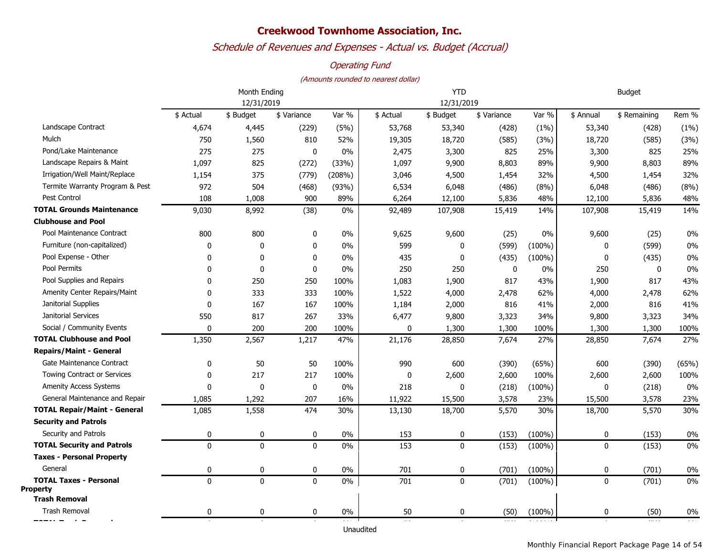### *Schedule of Revenues and Expenses - Actual vs. Budget (Accrual)*

#### *Operating Fund*

|                                     |              | Month Ending |             | <b>YTD</b> |              |              |             | <b>Budget</b> |             |              |       |  |
|-------------------------------------|--------------|--------------|-------------|------------|--------------|--------------|-------------|---------------|-------------|--------------|-------|--|
|                                     | 12/31/2019   |              |             |            |              | 12/31/2019   |             |               |             |              |       |  |
|                                     | \$ Actual    | \$ Budget    | \$ Variance | Var %      | \$ Actual    | \$ Budget    | \$ Variance | Var %         | \$ Annual   | \$ Remaining | Rem % |  |
| Landscape Contract                  | 4,674        | 4,445        | (229)       | (5%)       | 53,768       | 53,340       | (428)       | (1%)          | 53,340      | (428)        | (1% ) |  |
| Mulch                               | 750          | 1,560        | 810         | 52%        | 19,305       | 18,720       | (585)       | (3%)          | 18,720      | (585)        | (3%)  |  |
| Pond/Lake Maintenance               | 275          | 275          | 0           | 0%         | 2,475        | 3,300        | 825         | 25%           | 3,300       | 825          | 25%   |  |
| Landscape Repairs & Maint           | 1,097        | 825          | (272)       | (33%)      | 1,097        | 9,900        | 8,803       | 89%           | 9,900       | 8,803        | 89%   |  |
| Irrigation/Well Maint/Replace       | 1,154        | 375          | (779)       | (208%)     | 3,046        | 4,500        | 1,454       | 32%           | 4,500       | 1,454        | 32%   |  |
| Termite Warranty Program & Pest     | 972          | 504          | (468)       | (93%)      | 6,534        | 6,048        | (486)       | (8%)          | 6,048       | (486)        | (8%)  |  |
| Pest Control                        | 108          | 1,008        | 900         | 89%        | 6,264        | 12,100       | 5,836       | 48%           | 12,100      | 5,836        | 48%   |  |
| <b>TOTAL Grounds Maintenance</b>    | 9,030        | 8,992        | (38)        | 0%         | 92,489       | 107,908      | 15,419      | 14%           | 107,908     | 15,419       | 14%   |  |
| <b>Clubhouse and Pool</b>           |              |              |             |            |              |              |             |               |             |              |       |  |
| Pool Maintenance Contract           | 800          | 800          | 0           | $0\%$      | 9,625        | 9,600        | (25)        | 0%            | 9,600       | (25)         | 0%    |  |
| Furniture (non-capitalized)         | 0            | 0            | 0           | 0%         | 599          | $\mathbf{0}$ | (599)       | $(100\%)$     | $\Omega$    | (599)        | 0%    |  |
| Pool Expense - Other                | $\mathbf{0}$ | $\mathbf{0}$ | $\mathbf 0$ | 0%         | 435          | $\mathbf{0}$ | (435)       | $(100\%)$     | $\Omega$    | (435)        | 0%    |  |
| Pool Permits                        | $\mathbf{0}$ | $\mathbf{0}$ | 0           | 0%         | 250          | 250          | $\mathbf 0$ | 0%            | 250         | $\mathbf 0$  | 0%    |  |
| Pool Supplies and Repairs           | $\mathbf{0}$ | 250          | 250         | 100%       | 1,083        | 1,900        | 817         | 43%           | 1,900       | 817          | 43%   |  |
| Amenity Center Repairs/Maint        | $\mathbf{0}$ | 333          | 333         | 100%       | 1,522        | 4,000        | 2,478       | 62%           | 4,000       | 2,478        | 62%   |  |
| Janitorial Supplies                 | $\mathbf{0}$ | 167          | 167         | 100%       | 1,184        | 2,000        | 816         | 41%           | 2,000       | 816          | 41%   |  |
| Janitorial Services                 | 550          | 817          | 267         | 33%        | 6,477        | 9,800        | 3,323       | 34%           | 9,800       | 3,323        | 34%   |  |
| Social / Community Events           | $\mathbf{0}$ | 200          | 200         | 100%       | $\mathbf{0}$ | 1,300        | 1,300       | 100%          | 1,300       | 1,300        | 100%  |  |
| <b>TOTAL Clubhouse and Pool</b>     | 1,350        | 2,567        | 1,217       | 47%        | 21,176       | 28,850       | 7,674       | 27%           | 28,850      | 7,674        | 27%   |  |
| <b>Repairs/Maint - General</b>      |              |              |             |            |              |              |             |               |             |              |       |  |
| Gate Maintenance Contract           | $\mathbf 0$  | 50           | 50          | 100%       | 990          | 600          | (390)       | (65%)         | 600         | (390)        | (65%) |  |
| Towing Contract or Services         | $\mathbf{0}$ | 217          | 217         | 100%       | 0            | 2,600        | 2,600       | 100%          | 2,600       | 2,600        | 100%  |  |
| Amenity Access Systems              | $\mathbf{0}$ | 0            | $\mathbf 0$ | 0%         | 218          | 0            | (218)       | $(100\%)$     | 0           | (218)        | 0%    |  |
| General Maintenance and Repair      | 1,085        | 1,292        | 207         | 16%        | 11,922       | 15,500       | 3,578       | 23%           | 15,500      | 3,578        | 23%   |  |
| <b>TOTAL Repair/Maint - General</b> | 1,085        | 1,558        | 474         | 30%        | 13,130       | 18,700       | 5,570       | 30%           | 18,700      | 5,570        | 30%   |  |
| <b>Security and Patrols</b>         |              |              |             |            |              |              |             |               |             |              |       |  |
| Security and Patrols                | 0            | 0            | $\mathbf 0$ | 0%         | 153          | 0            | (153)       | $(100\%)$     | 0           | (153)        | 0%    |  |
| <b>TOTAL Security and Patrols</b>   | $\mathbf{0}$ | $\mathbf{0}$ | $\mathbf 0$ | 0%         | 153          | $\mathbf 0$  | (153)       | $(100\%)$     | $\mathbf 0$ | (153)        | 0%    |  |
| <b>Taxes - Personal Property</b>    |              |              |             |            |              |              |             |               |             |              |       |  |
| General                             | 0            | $\pmb{0}$    | 0           | $0\%$      | 701          | 0            | (701)       | $(100\%)$     | 0           | (701)        | 0%    |  |
| <b>TOTAL Taxes - Personal</b>       | $\Omega$     | $\Omega$     | $\mathbf 0$ | 0%         | 701          | $\mathbf 0$  | (701)       | $(100\%)$     | $\Omega$    | (701)        | 0%    |  |
| <b>Property</b>                     |              |              |             |            |              |              |             |               |             |              |       |  |
| <b>Trash Removal</b>                |              |              |             |            |              |              |             |               |             |              |       |  |
| <b>Trash Removal</b>                | 0            | 0            | 0           | 0%         | 50           | 0            | (50)        | $(100\%)$     | 0           | (50)         | 0%    |  |
|                                     |              |              |             |            | Unaudited    |              |             |               |             |              |       |  |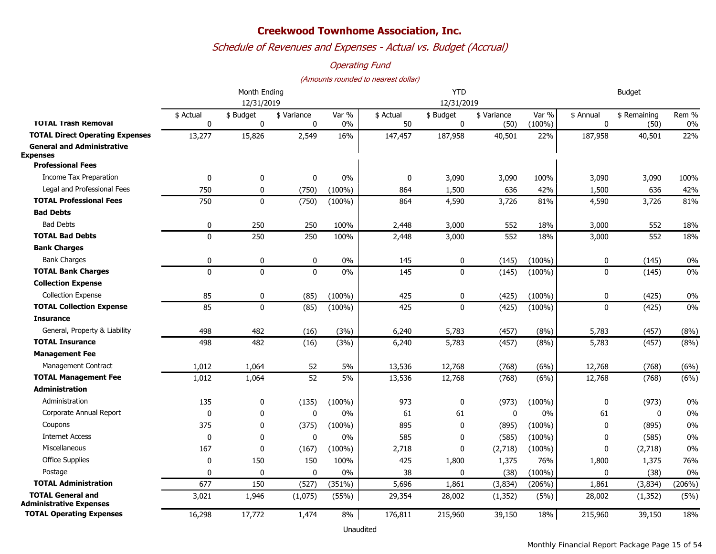### *Schedule of Revenues and Expenses - Actual vs. Budget (Accrual)*

#### *Operating Fund*

#### *(Amounts rounded to nearest dollar)*

|                                                            |                | Month Ending   |                            | <b>YTD</b>     |                 |                          |                     | <b>Budget</b>      |                          |                      |                |
|------------------------------------------------------------|----------------|----------------|----------------------------|----------------|-----------------|--------------------------|---------------------|--------------------|--------------------------|----------------------|----------------|
|                                                            | 12/31/2019     |                |                            |                |                 | 12/31/2019               |                     |                    |                          |                      |                |
| <b>TOTAL Trash Removal</b>                                 | \$ Actual<br>0 | \$ Budget<br>0 | \$ Variance<br>$\mathbf 0$ | Var %<br>$0\%$ | \$ Actual<br>50 | \$ Budget<br>$\mathbf 0$ | \$ Variance<br>(50) | Var %<br>$(100\%)$ | \$ Annual<br>$\mathbf 0$ | \$ Remaining<br>(50) | Rem %<br>$0\%$ |
| <b>TOTAL Direct Operating Expenses</b>                     | 13,277         | 15,826         | 2,549                      | 16%            | 147,457         | 187,958                  | 40,501              | 22%                | 187,958                  | 40,501               | 22%            |
| <b>General and Administrative</b><br><b>Expenses</b>       |                |                |                            |                |                 |                          |                     |                    |                          |                      |                |
| <b>Professional Fees</b>                                   |                |                |                            |                |                 |                          |                     |                    |                          |                      |                |
| Income Tax Preparation                                     | 0              | 0              | 0                          | $0\%$          | $\mathbf 0$     | 3,090                    | 3,090               | 100%               | 3,090                    | 3,090                | 100%           |
| Legal and Professional Fees                                | 750            | $\mathbf 0$    | (750)                      | $(100\%)$      | 864             | 1,500                    | 636                 | 42%                | 1,500                    | 636                  | 42%            |
| <b>TOTAL Professional Fees</b>                             | 750            | $\mathbf 0$    | (750)                      | $(100\%)$      | 864             | 4,590                    | 3,726               | 81%                | 4,590                    | 3,726                | 81%            |
| <b>Bad Debts</b>                                           |                |                |                            |                |                 |                          |                     |                    |                          |                      |                |
| <b>Bad Debts</b>                                           | 0              | 250            | 250                        | 100%           | 2,448           | 3,000                    | 552                 | 18%                | 3,000                    | 552                  | 18%            |
| <b>TOTAL Bad Debts</b>                                     | $\mathbf 0$    | 250            | 250                        | 100%           | 2,448           | 3,000                    | 552                 | 18%                | 3,000                    | 552                  | 18%            |
| <b>Bank Charges</b>                                        |                |                |                            |                |                 |                          |                     |                    |                          |                      |                |
| <b>Bank Charges</b>                                        | 0              | 0              | 0                          | $0\%$          | 145             | 0                        | (145)               | $(100\%)$          | 0                        | (145)                | $0\%$          |
| <b>TOTAL Bank Charges</b>                                  | $\Omega$       | $\mathbf{0}$   | $\mathbf 0$                | 0%             | 145             | $\mathbf{0}$             | (145)               | $(100\%)$          | 0                        | (145)                | $0\%$          |
| <b>Collection Expense</b>                                  |                |                |                            |                |                 |                          |                     |                    |                          |                      |                |
| <b>Collection Expense</b>                                  | 85             | 0              | (85)                       | $(100\%)$      | 425             | 0                        | (425)               | $(100\%)$          | 0                        | (425)                | $0\%$          |
| <b>TOTAL Collection Expense</b>                            | 85             | $\mathbf{0}$   | (85)                       | $(100\%)$      | 425             | $\mathbf{0}$             | (425)               | $(100\%)$          | $\mathbf{0}$             | (425)                | $0\%$          |
| <b>Insurance</b>                                           |                |                |                            |                |                 |                          |                     |                    |                          |                      |                |
| General, Property & Liability                              | 498            | 482            | (16)                       | (3%)           | 6,240           | 5,783                    | (457)               | (8%)               | 5,783                    | (457)                | (8%)           |
| <b>TOTAL Insurance</b>                                     | 498            | 482            | (16)                       | (3%)           | 6,240           | 5,783                    | (457)               | (8%)               | 5,783                    | (457)                | (8%)           |
| <b>Management Fee</b>                                      |                |                |                            |                |                 |                          |                     |                    |                          |                      |                |
| Management Contract                                        | 1,012          | 1,064          | 52                         | 5%             | 13,536          | 12,768                   | (768)               | (6%)               | 12,768                   | (768)                | (6%)           |
| <b>TOTAL Management Fee</b>                                | 1,012          | 1,064          | $\overline{52}$            | 5%             | 13,536          | 12,768                   | (768)               | (6%)               | 12,768                   | (768)                | (6%)           |
| Administration                                             |                |                |                            |                |                 |                          |                     |                    |                          |                      |                |
| Administration                                             | 135            | 0              | (135)                      | $(100\%)$      | 973             | 0                        | (973)               | $(100\%)$          | 0                        | (973)                | 0%             |
| Corporate Annual Report                                    | $\Omega$       | $\mathbf 0$    | $\mathbf 0$                | $0\%$          | 61              | 61                       | $\mathbf 0$         | 0%                 | 61                       | $\mathbf{0}$         | $0\%$          |
| Coupons                                                    | 375            | $\mathbf 0$    | (375)                      | $(100\%)$      | 895             | $\mathbf 0$              | (895)               | $(100\%)$          | 0                        | (895)                | $0\%$          |
| <b>Internet Access</b>                                     | $\Omega$       | 0              | $\mathbf 0$                | 0%             | 585             | 0                        | (585)               | $(100\%)$          | 0                        | (585)                | $0\%$          |
| Miscellaneous                                              | 167            | $\mathbf 0$    | (167)                      | $(100\%)$      | 2,718           | $\mathbf 0$              | (2,718)             | $(100\%)$          | 0                        | (2,718)              | 0%             |
| <b>Office Supplies</b>                                     | $\Omega$       | 150            | 150                        | 100%           | 425             | 1,800                    | 1,375               | 76%                | 1,800                    | 1,375                | 76%            |
| Postage                                                    | 0              | $\mathbf{0}$   | 0                          | 0%             | 38              | $\mathbf{0}$             | (38)                | $(100\%)$          | $\mathbf{0}$             | (38)                 | 0%             |
| <b>TOTAL Administration</b>                                | 677            | 150            | (527)                      | (351%)         | 5,696           | 1,861                    | (3,834)             | (206%)             | 1,861                    | (3,834)              | (206%)         |
| <b>TOTAL General and</b><br><b>Administrative Expenses</b> | 3,021          | 1,946          | (1,075)                    | (55%)          | 29,354          | 28,002                   | (1, 352)            | (5%)               | 28,002                   | (1, 352)             | (5%)           |
| <b>TOTAL Operating Expenses</b>                            | 16,298         | 17,772         | 1,474                      | 8%             | 176,811         | 215,960                  | 39,150              | 18%                | 215,960                  | 39,150               | 18%            |

Unaudited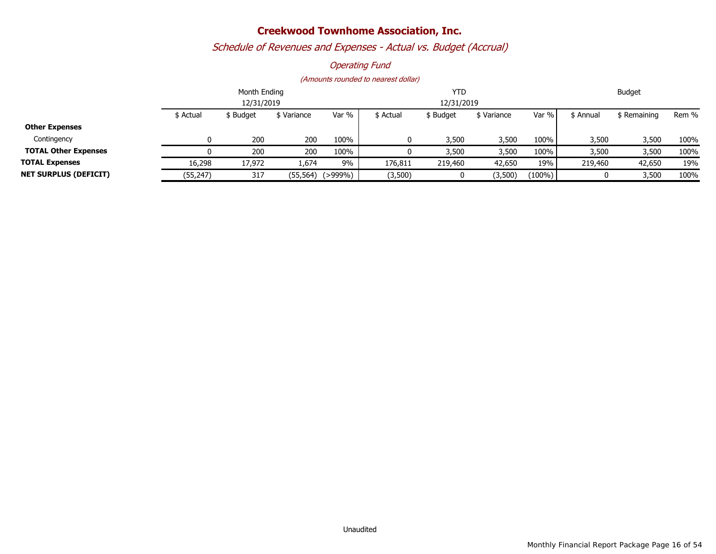## *Schedule of Revenues and Expenses - Actual vs. Budget (Accrual)*

#### *Operating Fund*

|                              |           | Month Ending |          | <b>YTD</b> |           |            |             | <b>Budget</b> |           |              |       |
|------------------------------|-----------|--------------|----------|------------|-----------|------------|-------------|---------------|-----------|--------------|-------|
|                              |           | 12/31/2019   |          |            |           | 12/31/2019 |             |               |           |              |       |
|                              | \$ Actual | \$ Budget    | Variance | Var %      | \$ Actual | \$ Budget  | \$ Variance | Var %         | \$ Annual | \$ Remaining | Rem % |
| <b>Other Expenses</b>        |           |              |          |            |           |            |             |               |           |              |       |
| Contingency                  |           | 200          | 200      | 100%       |           | 3,500      | 3,500       | 100%          | 3,500     | 3,500        | 100%  |
| <b>TOTAL Other Expenses</b>  |           | 200          | 200      | 100%       |           | 3,500      | 3,500       | 100%          | 3,500     | 3,500        | 100%  |
| <b>TOTAL Expenses</b>        | 16,298    | 17,972       | 1,674    | 9%         | 176,811   | 219,460    | 42,650      | 19%           | 219,460   | 42,650       | 19%   |
| <b>NET SURPLUS (DEFICIT)</b> | (55, 247) | 317          | (55,564) | (>999%)    | (3,500)   |            | (3,500)     | $(100\%)$     |           | 3,500        | 100%  |